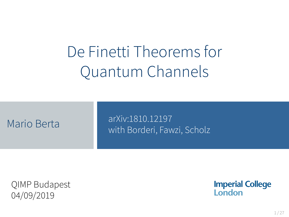# De Finetti Theorems for Quantum Channels

|  | Mario Berta |  |
|--|-------------|--|

arXiv:1810.12197 with Borderi, Fawzi, Scholz

QIMP Budapest 04/09/2019

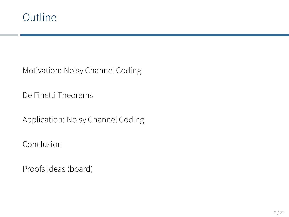# Outline

Motivation: Noisy Channel Coding

De Finetti Theorems

Application: Noisy Channel Coding

Conclusion

Proofs Ideas (board)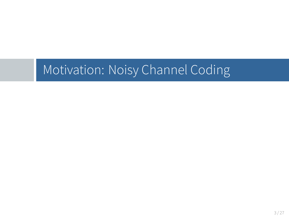Motivation: Noisy Channel Coding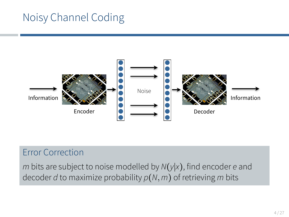# Noisy Channel Coding



#### Error Correction

*m* bits are subject to noise modelled by *N*(*y*∣*x*), find encoder *e* and decoder *d* to maximize probability *p*(*N,m*) of retrieving *m* bits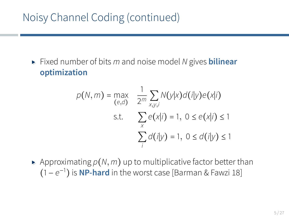# Noisy Channel Coding (continued)

▸ Fixed number of bits *<sup>m</sup>* and noise model *<sup>N</sup>* gives **bilinear optimization**

$$
p(N, m) = \max_{(e,d)} \frac{1}{2^m} \sum_{x,y,i} N(y|x) d(i|y) e(x|i)
$$
  
s.t. 
$$
\sum_{x} e(x|i) = 1, 0 \le e(x|i) \le 1
$$

$$
\sum_{i} d(i|y) = 1, 0 \le d(i|y) \le 1
$$

 $\blacktriangleright$  Approximating  $p(N, m)$  up to multiplicative factor better than (1 − *e* −1 ) is **NP-hard** in the worst case [Barman & Fawzi 18]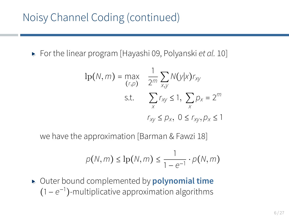▸ For the linear program [Hayashi 09, Polyanski *et al.* 10]

$$
lp(N, m) = \max_{(r, p)} \quad \frac{1}{2^m} \sum_{x, y} N(y|x) r_{xy}
$$
  
s.t. 
$$
\sum_{x} r_{xy} \le 1, \sum_{x} p_x = 2^m
$$

$$
r_{xy} \le p_x, \ 0 \le r_{xy}, p_x \le 1
$$

we have the approximation [Barman & Fawzi 18]

$$
p(N,m) \leq \ln(N,m) \leq \frac{1}{1-e^{-1}} \cdot p(N,m)
$$

▸ Outer bound complemented by **polynomial time** (1 − *e* −1 )-multiplicative approximation algorithms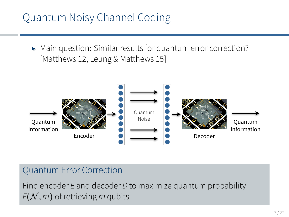### Quantum Noisy Channel Coding

▸ Main question: Similar results for quantum error correction? [Matthews 12, Leung & Matthews 15]



#### Quantum Error Correction

Find encoder *E* and decoder *D* to maximize quantum probability  $F(N, m)$  of retrieving *m* qubits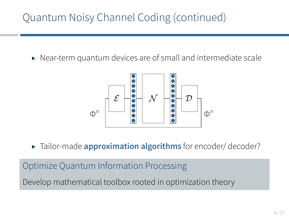▸ Near-term quantum devices are of small and intermediate scale



▸ Tailor-made **approximation algorithms** for encoder/ decoder?

Optimize Quantum Information Processing Develop mathematical toolbox rooted in optimization theory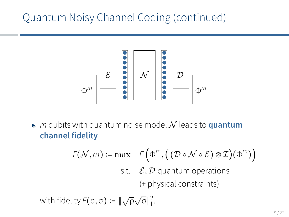

 $\triangleright$  *m* qubits with quantum noise model  $\mathcal N$  leads to **quantum channel fidelity**

$$
F(\mathcal{N}, m) := \max \quad F\left(\Phi^m, \left(\left(D \circ \mathcal{N} \circ \mathcal{E}\right) \otimes \mathcal{I}\right)(\Phi^m)\right)
$$
  
s.t.  $\mathcal{E}, \mathcal{D}$  quantum operations  
(+ physical constraints)

with fidelity  $F(\rho, \sigma) \coloneqq \|\sqrt{\rho}\sqrt{\sigma}\|_1^2$ .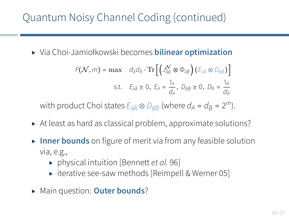▸ Via Choi-Jamiołkowski becomes **bilinear optimization**

$$
F(\mathcal{N}, m) = \max \quad d_{\bar{A}} d_B \cdot \text{Tr} \left[ \left( J_{\bar{A}B}^{\mathcal{N}} \otimes \Phi_{A\bar{B}} \right) \left( E_{A\bar{A}} \otimes D_{B\bar{B}} \right) \right]
$$
  
s.t.  $E_{A\bar{A}} \ge 0$ ,  $E_A = \frac{1_A}{d_A}$ ,  $D_{B\bar{B}} \ge 0$ ,  $D_B = \frac{1_B}{d_B}$ 

with product Choi states  $E_{A\overline{A}} \otimes D_{B\overline{B}}$  (where  $d_A = d_{\overline{B}} = 2^m$ ).

- ▸ At least as hard as classical problem, approximate solutions?
- ▸ **Inner bounds** on figure of merit via from any feasible solution via, e.g.,
	- ▸ physical intuition [Bennett *et al.* 96]
	- ▸ iterative see-saw methods [Reimpell & Werner 05]
- ▸ Main question: **Outer bounds**?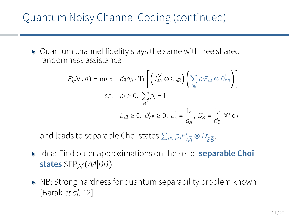▸ Quantum channel fidelity stays the same with free shared randomness assistance

$$
F(\mathcal{N}, n) = \max \quad d_{\bar{A}} d_B \cdot \text{Tr} \left[ \left( J_{\bar{A}B}^{\mathcal{N}} \otimes \Phi_{A\bar{B}} \right) \left( \sum_{i \in I} p_i E_{A\bar{A}}^i \otimes D_{B\bar{B}}^i \right) \right]
$$
  
s.t.  $p_i \ge 0$ ,  $\sum_{i \in I} p_i = 1$   
 $E_{A\bar{A}}^i \ge 0$ ,  $D_{B\bar{B}}^i \ge 0$ ,  $E_A^i = \frac{1_A}{d_A}$ ,  $D_B^i = \frac{1_B}{d_B}$   $\forall i \in I$ 

and leads to separable Choi states  $\sum_{i\in I} p_i E_{A\overline{A}}^i \otimes D_{B\overline{B}}^i$ .

- ▸ Idea: Find outer approximations on the set of **separable Choi states** SEP<sub>N</sub>( $A\bar{A}$ *BB*)
- ▸ NB: Strong hardness for quantum separability problem known [Barak *et al.* 12]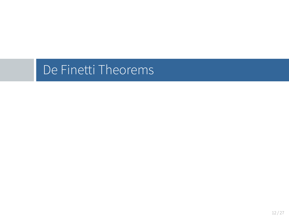De Finetti Theorems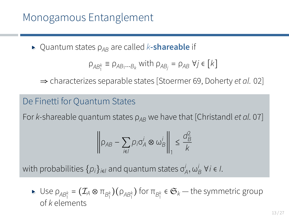### Monogamous Entanglement

▸ Quantum states <sup>ρ</sup>*AB* are called *<sup>k</sup>***-shareable** if

$$
\rho_{AB_1^k} \equiv \rho_{AB_1\cdots B_k} \text{ with } \rho_{AB_j} = \rho_{AB} \ \forall j \in [k]
$$

⇒ characterizes separable states [Stoermer 69, Doherty *et al.* 02]

#### De Finetti for Quantum States

For *k*-shareable quantum states  $ρ<sub>AB</sub>$  we have that [Christandl *et al.* 07]

$$
\left\| \rho_{AB} - \sum_{i \in I} p_i \sigma_A^i \otimes \omega_B^i \right\|_1 \leq \frac{d_B^2}{k}
$$

with probabilities  $\{p_i\}_{i\in I}$  and quantum states  $\sigma_A^i, \omega_B^i$  ∀*i* ∈ *I*.

 $▶ \text{ Use } \rho_{AB_1^k} = (\mathcal{I}_A \otimes \pi_{B_1^k})(\rho_{AB_1^k}) \text{ for } \pi_{B_1^k} \in \mathfrak{S}_k \text{ -- the symmetric group}$ of *k* elements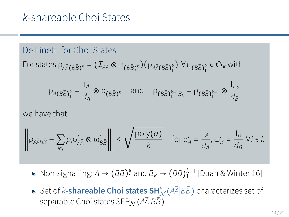#### De Finetti for Choi States

For states 
$$
\rho_{A\bar{A}(B\bar{B})_1^k}=(\mathcal{I}_{A\bar{A}}\otimes \pi_{\left(B\bar{B}\right)_1^k})(\rho_{A\bar{A}(B\bar{B})_1^k})
$$
  $\forall \pi_{\left(B\bar{B}\right)_1^k}\in \mathfrak{S}_k$  with

$$
\rho_{A(B\bar{B})_1^k} = \frac{1_A}{d_A} \otimes \rho_{(B\bar{B})_1^k}
$$
 and  $\rho_{(B\bar{B})_1^{k-1}B_k} = \rho_{(B\bar{B})_1^{k-1}} \otimes \frac{1_{B_k}}{d_B}$ 

we have that

$$
\left\|\rho_{A\bar{A}B\bar{B}}-\sum_{i\in I}\rho_i\sigma_{A\bar{A}}^i\otimes\omega_{B\bar{B}}^i\right\|_1\leq\sqrt{\frac{\text{poly}(d)}{k}}\quad\text{for }\sigma_A^i=\frac{1_A}{d_A},\omega_B^i=\frac{1_B}{d_B}\ \forall i\in I.
$$

► Non-signalling:  $A \rightarrow (B\overline{B})_1^k$  and  $B_k \rightarrow (B\overline{B})_1^{k-1}$  [Duan & Winter 16]

► Set of *k*-shareable Choi states SH<sup>*k*</sup> ( $\overline{A}|\overline{B}\overline{B}$ ) characterizes set of separable Choi states SEP<sub>N</sub> (AA<sup>*A*<sup>*BB*</sup>)</sub></sup>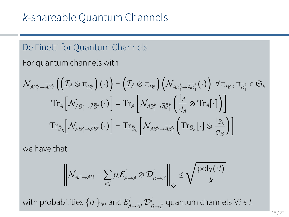#### De Finetti for Quantum Channels

For quantum channels with

$$
\mathcal{N}_{AB_1^k\rightarrow \overline{A}\overline{B}_1^k}\left(\left(\mathcal{I}_A\otimes \pi_{B_1^k}\right)(\cdot)\right)=\left(\mathcal{I}_A\otimes \pi_{\overline{B}_1^k}\right)\left(\mathcal{N}_{AB_1^k\rightarrow \overline{A}\overline{B}_1^k}(\cdot)\right)\ \forall \pi_{B_1^k}, \pi_{\overline{B}_1^k}\in \mathfrak{S}_k
$$
\n
$$
\operatorname{Tr}_{\overline{A}}\left[\mathcal{N}_{AB_1^k\rightarrow \overline{A}\overline{B}_1^k}(\cdot)\right]=\operatorname{Tr}_{\overline{A}}\left[\mathcal{N}_{AB_1^k\rightarrow \overline{A}\overline{B}_1^k}\left(\frac{1_A}{d_A}\otimes \operatorname{Tr}_A[\cdot]\right)\right]
$$
\n
$$
\operatorname{Tr}_{\overline{B}_k}\left[\mathcal{N}_{AB_1^k\rightarrow \overline{A}\overline{B}_1^k}(\cdot)\right]=\operatorname{Tr}_{\overline{B}_k}\left[\mathcal{N}_{AB_1^k\rightarrow \overline{A}\overline{B}_1^k}\left(\operatorname{Tr}_{B_k}[\cdot]\otimes \frac{1_{B_k}}{d_B}\right)\right]
$$

we have that

$$
\left\| \mathcal{N}_{AB \to \overline{A} \overline{B}} - \sum_{i \in I} p_i \mathcal{E}_{A \to \overline{A}}^i \otimes \mathcal{D}_{B \to \overline{B}}^i \right\|_{\diamondsuit} \leq \sqrt{\frac{\textnormal{poly}(d)}{k}}
$$

with probabilities  $\{p_i\}_{i\in I}$  and  $\mathcal{E}^i_{A\to \bar{A}}, \mathcal{D}^i_{B\to \bar{B}}$  quantum channels ∀*i* ∈ *I*.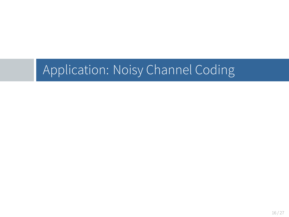Application: Noisy Channel Coding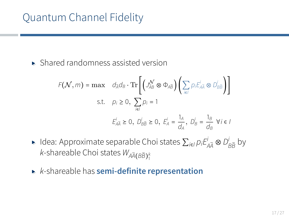▸ Shared randomness assisted version

$$
F(\mathcal{N}, m) = \max \quad d_{\bar{A}}d_{B} \cdot \text{Tr}\left[\left(\mathcal{J}_{\bar{A}B}^{\mathcal{N}} \otimes \Phi_{A\bar{B}}\right)\left(\sum_{i\in I} p_{i}\dot{\mathcal{E}}_{A\bar{A}} \otimes D_{B\bar{B}}^{i}\right)\right]
$$
  
s.t.  $p_{i} \ge 0$ ,  $\sum_{i\in I} p_{i} = 1$   

$$
\mathcal{E}_{A\bar{A}}^{i} \ge 0, \ D_{B\bar{B}}^{i} \ge 0, \ \mathcal{E}_{A}^{i} = \frac{1_{A}}{d_{A}}, \ D_{B}^{i} = \frac{1_{B}}{d_{B}} \ \forall i \in I
$$

- ► Idea: Approximate separable Choi states  $\sum_{i\in I} p_i E_{A\overline{A}}^i \otimes D_{B\overline{B}}^i$  by  $k$ -shareable Choi states  $W_{A\bar{A}(B\bar{B})^k_1}$
- ▸ *<sup>k</sup>*-shareable has **semi-definite representation**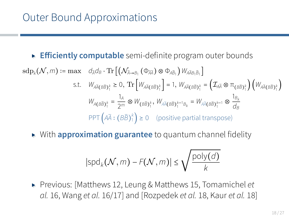### Outer Bound Approximations

#### ▸ **Efficiently computable** semi-definite program outer bounds

$$
\operatorname{sdp}_{k}(\mathcal{N}, m) := \max \quad d_{\tilde{A}}d_{B} \cdot \operatorname{Tr} \left[ \left( \mathcal{N}_{\bar{A} \to B_{1}} \left( \Phi_{\bar{A} \bar{A}} \right) \otimes \Phi_{A \bar{B}_{1}} \right) W_{A \bar{A} B_{1} \bar{B}_{1}} \right]
$$
\n
$$
\text{s.t.} \quad W_{A \bar{A} \left( B \bar{B} \right)_{1}^{k}} \ge 0, \text{ Tr} \left[ W_{A \bar{A} \left( B \bar{B} \right)_{1}^{k}} \right] = 1, \ W_{A \bar{A} \left( B \bar{B} \right)_{1}^{k}} = \left( \mathcal{I}_{A \bar{A}} \otimes \pi_{\left( B \bar{B} \right)_{1}^{k}} \right) \left( W_{A \bar{A} \left( B \bar{B} \right)_{1}^{k}} \right)
$$
\n
$$
W_{A \left( B \bar{B} \right)_{1}^{k}} = \frac{1_{A}}{2^{m}} \otimes W_{\left( B \bar{B} \right)_{1}^{k}} W_{A \bar{A} \left( B \bar{B} \right)_{1}^{k-1} B_{k}} = W_{A \bar{A} \left( B \bar{B} \right)_{1}^{k-1}} \otimes \frac{1_{B_{k}}}{B_{k}}
$$
\n
$$
\text{PPT} \left( A \bar{A} : \left( B \bar{B} \right)^{k} \right) \ge 0 \quad \text{(positive partial transpose)}
$$

▸ With **approximation guarantee** to quantum channel fidelity

$$
|\text{spd}_k(\mathcal{N},m) - F(\mathcal{N},m)| \leq \sqrt{\frac{\text{poly}(d)}{k}}
$$

▸ Previous: [Matthews 12, Leung & Matthews 15, Tomamichel *et al.* 16, Wang *et al.* 16/17] and [Rozpedek *et al.* 18, Kaur *et al.* 18]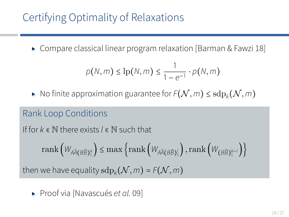# Certifying Optimality of Relaxations

▸ Compare classical linear program relaxation [Barman & Fawzi 18]

$$
p(N,m) \leq \ln(N,m) \leq \frac{1}{1-e^{-1}} \cdot p(N,m)
$$

▶ No finite approximation guarantee for  $F(N, m)$  ≤  $\mathrm{sdp}_k(N, m)$ 

#### Rank Loop Conditions

If for *k* ∈ N there exists *l* ∈ N such that

$$
\mathrm{rank}\left(\mathcal{W}_{A\bar{A}(B\bar{B})_1^k}\right)\leq \max\left\{\mathrm{rank}\left(\mathcal{W}_{A\bar{A}(B\bar{B})_1^l}\right), \mathrm{rank}\left(\mathcal{W}_{\left(B\bar{B}\right)_1^{k-l}}\right)\right\}
$$

then we have equality  $\text{sdp}_k(\mathcal{N}, m) = \text{F}(\mathcal{N}, m)$ 

▸ Proof via [Navascués *et al.* 09]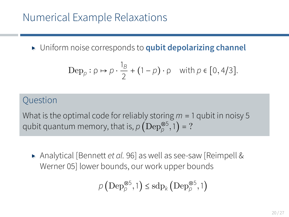▸ Uniform noise corresponds to **qubit depolarizing channel**

$$
\operatorname{Dep}_p: \rho \mapsto \rho \cdot \frac{1_B}{2} + (1 - \rho) \cdot \rho \quad \text{with } \rho \in [0, 4/3].
$$

#### **Ouestion**

What is the optimal code for reliably storing *m* = 1 qubit in noisy 5 qubit quantum memory, that is,  $\rho\left(\text{Dep}_{\rho}^{\otimes 5},1\right)$  = ?

▸ Analytical [Bennett *et al.* 96] as well as see-saw [Reimpell & Werner 05] lower bounds, our work upper bounds

$$
\rho\left(\text{Dep}^{\otimes 5}_{\rho},1\right) \leq \text{sdp}_k\left(\text{Dep}^{\otimes 5}_{\rho},1\right)
$$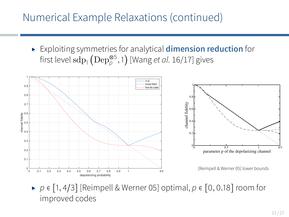### Numerical Example Relaxations (continued)

▸ Exploiting symmetries for analytical **dimension reduction** for first level  $\mathrm{sdp}_{1}\left(\mathrm{Dep}_{\rho}^{\otimes 5},1\right)$  [Wang *et al.* 16/17] gives



▸ *<sup>p</sup>* <sup>∈</sup> [1*,* <sup>4</sup>/3] [Reimpell & Werner 05] optimal, *<sup>p</sup>* <sup>∈</sup> [0*,* <sup>0</sup>*.*18] room for improved codes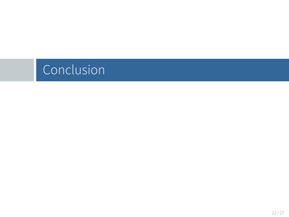# Conclusion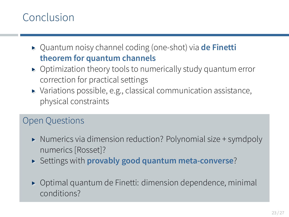### Conclusion

- ▸ Quantum noisy channel coding (one-shot) via **de Finetti theorem for quantum channels**
- ▸ Optimization theory tools to numerically study quantum error correction for practical settings
- ▸ Variations possible, e.g., classical communication assistance, physical constraints

#### Open Questions

- ▸ Numerics via dimension reduction? Polynomial size + symdpoly numerics [Rosset]?
- ▸ Settings with **provably good quantum meta-converse**?
- ▸ Optimal quantum de Finetti: dimension dependence, minimal conditions?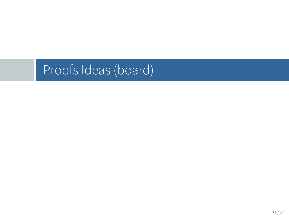Proofs Ideas (board)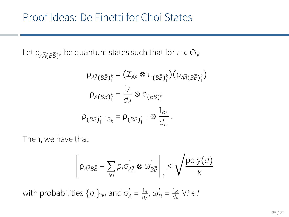Let  $\rho_{A\bar{A}(B\bar{B})_1^k}$  be quantum states such that for  $\pi\in\mathfrak{S}_k$ 

$$
\rho_{A\overline{A}(B\overline{B})_1^k} = (\mathcal{I}_{A\overline{A}} \otimes \pi_{\left(B\overline{B}\right)_1^k}) (\rho_{A\overline{A}(B\overline{B})_1^k})
$$

$$
\rho_{A(B\overline{B})_1^k} = \frac{1_A}{d_A} \otimes \rho_{\left(B\overline{B}\right)_1^k}
$$

$$
\rho_{\left(B\overline{B}\right)_1^{k-1}B_k} = \rho_{\left(B\overline{B}\right)_1^{k-1}} \otimes \frac{1_{B_k}}{d_B}.
$$

Then, we have that

$$
\left\|\rho_{A\overline{A}B\overline{B}}-\sum_{i\in I}p_i\sigma_{A\overline{A}}^i\otimes\omega_{B\overline{B}}^i\right\|_1\leq \sqrt{\frac{\text{poly}(d)}{k}}
$$

with probabilities  $\{p_i\}_{i\in I}$  and  $\sigma_A^i = \frac{1_A}{d_A^i}$  $\frac{1_A}{d_A}$ ,  $\omega_B^i = \frac{1_B}{d_B}$ *dB* ∀*i* ∈ *I*.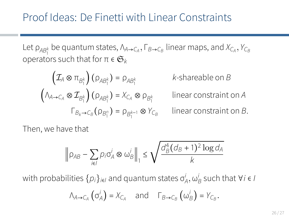Let  $\rho_{AB_1^k}$  be quantum states,  $\Lambda_{A\to C_A}, \Gamma_{B\to C_B}$  linear maps, and  $X_{C_A}, Y_{C_B}$ operators such that for  $π ∈ G_k$ 

$$
\left(\mathcal{I}_A \otimes \pi_{B_1^k}\right)(\rho_{AB_1^k}) = \rho_{AB_1^k} \qquad k\text{-shareable on } B
$$
\n
$$
\left(\Lambda_{A \to C_A} \otimes \mathcal{I}_{B_1^k}\right)(\rho_{AB_1^k}) = X_{C_A} \otimes \rho_{B_1^k} \qquad \text{linear constraint on } A
$$
\n
$$
\Gamma_{B_k \to C_B}(\rho_{B_1^n}) = \rho_{B_1^{k-1}} \otimes Y_{C_B} \qquad \text{linear constraint on } B.
$$

Then, we have that

$$
\left\|\rho_{AB}-\sum_{i\in I}p_i\sigma_A^i\otimes\omega_B^i\right\|_1\leq \sqrt{\frac{d_B^4(d_B+1)^2\log d_A}{k}}
$$

with probabilities  $\{p_i\}_{i\in I}$  and quantum states  $\sigma^i_A, \omega^i_B$  such that ∀*i* ∈ *I* 

$$
\Lambda_{A\to C_A}(\sigma_A^i) = X_{C_A}
$$
 and  $\Gamma_{B\to C_B}(\omega_B^i) = Y_{C_B}$ .